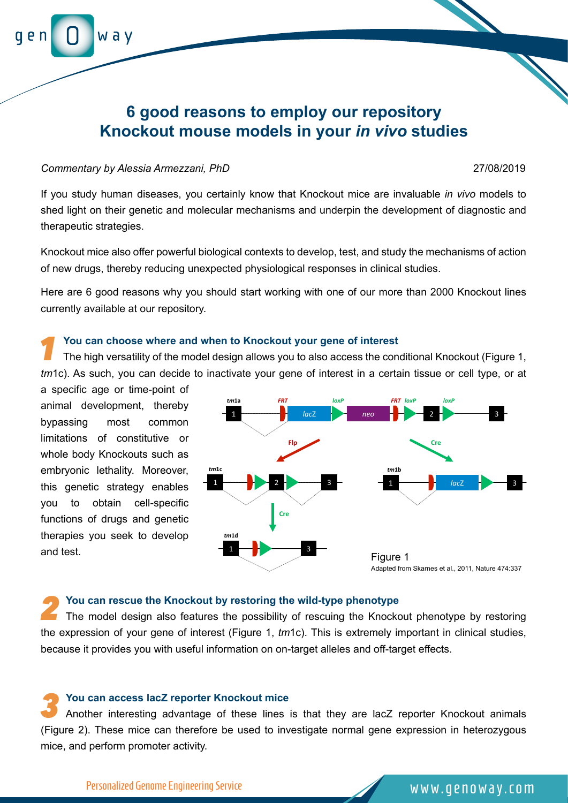# **6 good reasons to employ our repository Knockout mouse models in your** *in vivo* **studies**

### *Commentary by Alessia Armezzani, PhD* 27/08/2019

w a v

If you study human diseases, you certainly know that Knockout mice are invaluable *in vivo* models to shed light on their genetic and molecular mechanisms and underpin the development of diagnostic and therapeutic strategies.

Knockout mice also offer powerful biological contexts to develop, test, and study the mechanisms of action of new drugs, thereby reducing unexpected physiological responses in clinical studies.

Here are 6 good reasons why you should start working with one of our more than 2000 Knockout lines currently available at our repository.

## *1* **You can choose where and when to Knockout your gene of interest**

The high versatility of the model design allows you to also access the conditional Knockout (Figure 1, *tm*1c). As such, you can decide to inactivate your gene of interest in a certain tissue or cell type, or at

a specific age or time-point of animal development, thereby bypassing most common limitations of constitutive or whole body Knockouts such as embryonic lethality. Moreover, this genetic strategy enables you to obtain cell-specific functions of drugs and genetic therapies you seek to develop and test.



**2 2 2 2** *2* **2** *2* **2** *2 2 2 2 2 2 <i>2 2 2 2 2 2 2 2 2 2 2 2 2 2 2 2 2 2 2 2 2 2 2 2 2* the expression of your gene of interest (Figure 1, *tm*1c). This is extremely important in clinical studies, because it provides you with useful information on on-target alleles and off-target effects.

**3 You can access lacZ reporter Knockout mice**<br>Another interesting advantage of these lines is that they are lacZ reporter Knockout animals (Figure 2). These mice can therefore be used to investigate normal gene expression in heterozygous mice, and perform promoter activity.